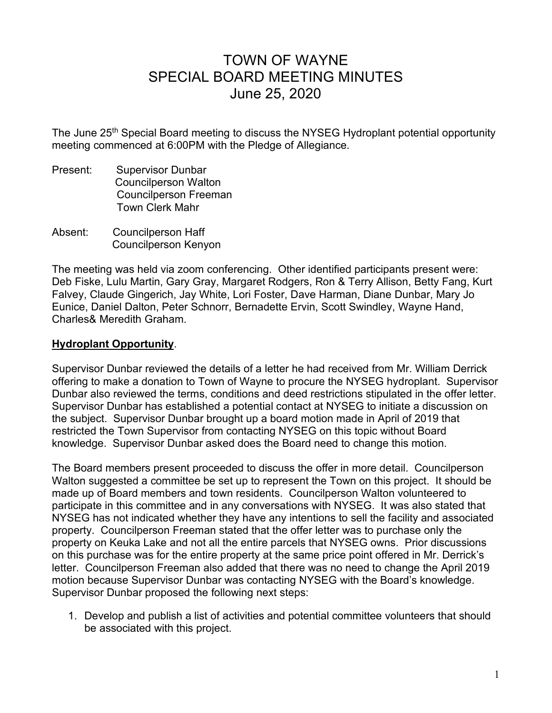## TOWN OF WAYNE SPECIAL BOARD MEETING MINUTES June 25, 2020

The June 25<sup>th</sup> Special Board meeting to discuss the NYSEG Hydroplant potential opportunity meeting commenced at 6:00PM with the Pledge of Allegiance.

- Present: Supervisor Dunbar Councilperson Walton Councilperson Freeman Town Clerk Mahr
- Absent: Councilperson Haff Councilperson Kenyon

The meeting was held via zoom conferencing. Other identified participants present were: Deb Fiske, Lulu Martin, Gary Gray, Margaret Rodgers, Ron & Terry Allison, Betty Fang, Kurt Falvey, Claude Gingerich, Jay White, Lori Foster, Dave Harman, Diane Dunbar, Mary Jo Eunice, Daniel Dalton, Peter Schnorr, Bernadette Ervin, Scott Swindley, Wayne Hand, Charles& Meredith Graham.

## **Hydroplant Opportunity**.

Supervisor Dunbar reviewed the details of a letter he had received from Mr. William Derrick offering to make a donation to Town of Wayne to procure the NYSEG hydroplant. Supervisor Dunbar also reviewed the terms, conditions and deed restrictions stipulated in the offer letter. Supervisor Dunbar has established a potential contact at NYSEG to initiate a discussion on the subject. Supervisor Dunbar brought up a board motion made in April of 2019 that restricted the Town Supervisor from contacting NYSEG on this topic without Board knowledge. Supervisor Dunbar asked does the Board need to change this motion.

The Board members present proceeded to discuss the offer in more detail. Councilperson Walton suggested a committee be set up to represent the Town on this project. It should be made up of Board members and town residents. Councilperson Walton volunteered to participate in this committee and in any conversations with NYSEG. It was also stated that NYSEG has not indicated whether they have any intentions to sell the facility and associated property. Councilperson Freeman stated that the offer letter was to purchase only the property on Keuka Lake and not all the entire parcels that NYSEG owns. Prior discussions on this purchase was for the entire property at the same price point offered in Mr. Derrick's letter. Councilperson Freeman also added that there was no need to change the April 2019 motion because Supervisor Dunbar was contacting NYSEG with the Board's knowledge. Supervisor Dunbar proposed the following next steps:

1. Develop and publish a list of activities and potential committee volunteers that should be associated with this project.